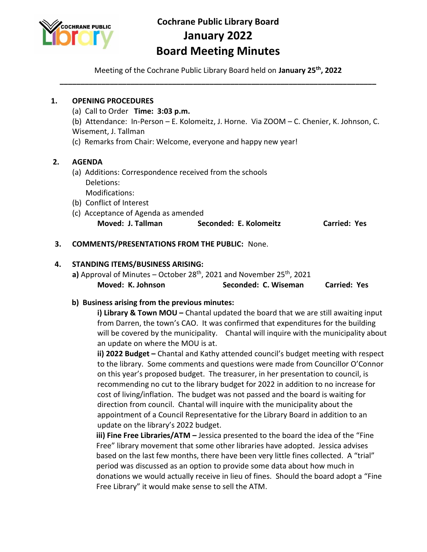

# **Cochrane Public Library Board January 2022 Board Meeting Minutes**

Meeting of the Cochrane Public Library Board held on **January 25th, 2022 \_\_\_\_\_\_\_\_\_\_\_\_\_\_\_\_\_\_\_\_\_\_\_\_\_\_\_\_\_\_\_\_\_\_\_\_\_\_\_\_\_\_\_\_\_\_\_\_\_\_\_\_\_\_\_\_\_\_\_\_\_\_\_\_\_\_\_\_\_\_\_\_\_\_\_\_**

## **1. OPENING PROCEDURES**  (a) Call to Order **Time: 3:03 p.m.** (b) Attendance: In-Person – E. Kolomeitz, J. Horne. Via ZOOM – C. Chenier, K. Johnson, C. Wisement, J. Tallman (c) Remarks from Chair: Welcome, everyone and happy new year!  **2. AGENDA**  (a) Additions: Correspondence received from the schools Deletions: Modifications: (b) Conflict of Interest (c) Acceptance of Agenda as amended **Moved: J. Tallman Seconded: E. Kolomeitz Carried: Yes 3. COMMENTS/PRESENTATIONS FROM THE PUBLIC:** None.

#### **4. STANDING ITEMS/BUSINESS ARISING:**

a) Approval of Minutes – October 28<sup>th</sup>, 2021 and November 25<sup>th</sup>, 2021 **Moved: K. Johnson Seconded: C. Wiseman Carried: Yes**

#### **b) Business arising from the previous minutes:**

**i) Library & Town MOU –** Chantal updated the board that we are still awaiting input from Darren, the town's CAO. It was confirmed that expenditures for the building will be covered by the municipality. Chantal will inquire with the municipality about an update on where the MOU is at.

**ii) 2022 Budget –** Chantal and Kathy attended council's budget meeting with respect to the library. Some comments and questions were made from Councillor O'Connor on this year's proposed budget. The treasurer, in her presentation to council, is recommending no cut to the library budget for 2022 in addition to no increase for cost of living/inflation. The budget was not passed and the board is waiting for direction from council. Chantal will inquire with the municipality about the appointment of a Council Representative for the Library Board in addition to an update on the library's 2022 budget.

**iii) Fine Free Libraries/ATM –** Jessica presented to the board the idea of the "Fine Free" library movement that some other libraries have adopted. Jessica advises based on the last few months, there have been very little fines collected. A "trial" period was discussed as an option to provide some data about how much in donations we would actually receive in lieu of fines. Should the board adopt a "Fine Free Library" it would make sense to sell the ATM.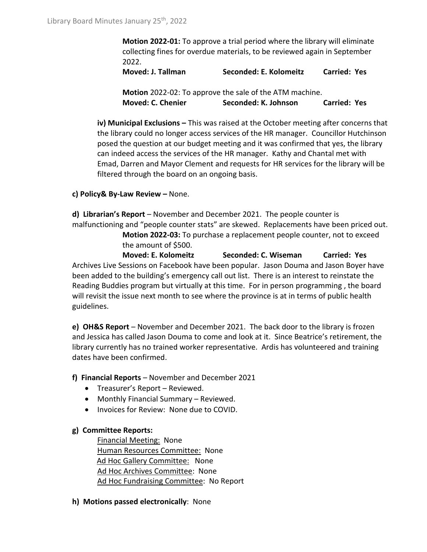**Motion 2022-01:** To approve a trial period where the library will eliminate collecting fines for overdue materials, to be reviewed again in September 2022.

**Moved: J. Tallman Seconded: E. Kolomeitz Carried: Yes**

**Motion** 2022-02: To approve the sale of the ATM machine. **Moved: C. Chenier Seconded: K. Johnson Carried: Yes**

**iv) Municipal Exclusions –** This was raised at the October meeting after concerns that the library could no longer access services of the HR manager. Councillor Hutchinson posed the question at our budget meeting and it was confirmed that yes, the library can indeed access the services of the HR manager. Kathy and Chantal met with Emad, Darren and Mayor Clement and requests for HR services for the library will be filtered through the board on an ongoing basis.

### **c) Policy& By-Law Review –** None.

**d) Librarian's Report** – November and December 2021. The people counter is malfunctioning and "people counter stats" are skewed. Replacements have been priced out. **Motion 2022-03:** To purchase a replacement people counter, not to exceed

the amount of \$500.

**Moved: E. Kolomeitz Seconded: C. Wiseman Carried: Yes** Archives Live Sessions on Facebook have been popular. Jason Douma and Jason Boyer have been added to the building's emergency call out list. There is an interest to reinstate the Reading Buddies program but virtually at this time. For in person programming , the board will revisit the issue next month to see where the province is at in terms of public health guidelines.

**e) OH&S Report** – November and December 2021. The back door to the library is frozen and Jessica has called Jason Douma to come and look at it. Since Beatrice's retirement, the library currently has no trained worker representative. Ardis has volunteered and training dates have been confirmed.

**f) Financial Reports** – November and December 2021

- Treasurer's Report Reviewed.
- Monthly Financial Summary Reviewed.
- Invoices for Review: None due to COVID.

#### **g) Committee Reports:**

Financial Meeting: None Human Resources Committee: None Ad Hoc Gallery Committee: None Ad Hoc Archives Committee: None Ad Hoc Fundraising Committee: No Report

**h) Motions passed electronically**: None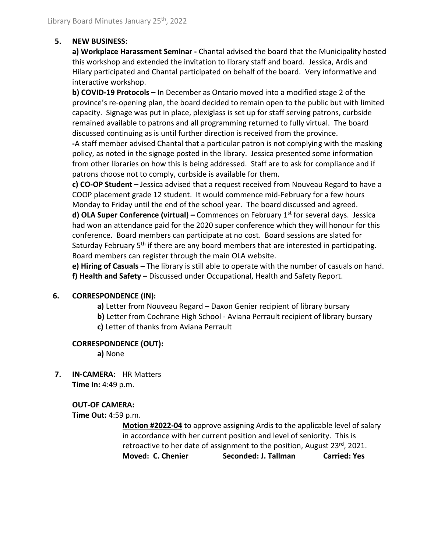#### **5. NEW BUSINESS:**

**a) Workplace Harassment Seminar -** Chantal advised the board that the Municipality hosted this workshop and extended the invitation to library staff and board. Jessica, Ardis and Hilary participated and Chantal participated on behalf of the board. Very informative and interactive workshop.

**b) COVID-19 Protocols –** In December as Ontario moved into a modified stage 2 of the province's re-opening plan, the board decided to remain open to the public but with limited capacity. Signage was put in place, plexiglass is set up for staff serving patrons, curbside remained available to patrons and all programming returned to fully virtual. The board discussed continuing as is until further direction is received from the province.

**-**A staff member advised Chantal that a particular patron is not complying with the masking policy, as noted in the signage posted in the library. Jessica presented some information from other libraries on how this is being addressed. Staff are to ask for compliance and if patrons choose not to comply, curbside is available for them.

**c) CO-OP Student** – Jessica advised that a request received from Nouveau Regard to have a COOP placement grade 12 student. It would commence mid-February for a few hours Monday to Friday until the end of the school year. The board discussed and agreed.

**d) OLA Super Conference (virtual) –** Commences on February 1<sup>st</sup> for several days. Jessica had won an attendance paid for the 2020 super conference which they will honour for this conference. Board members can participate at no cost. Board sessions are slated for Saturday February  $5<sup>th</sup>$  if there are any board members that are interested in participating. Board members can register through the main OLA website.

**e) Hiring of Casuals –** The library is still able to operate with the number of casuals on hand. **f) Health and Safety –** Discussed under Occupational, Health and Safety Report.

#### **6. CORRESPONDENCE (IN):**

- **a)** Letter from Nouveau Regard Daxon Genier recipient of library bursary
- **b)** Letter from Cochrane High School Aviana Perrault recipient of library bursary
	- **c)** Letter of thanks from Aviana Perrault

#### **CORRESPONDENCE (OUT):**

**a)** None

 **7. IN-CAMERA:** HR Matters **Time In:** 4:49 p.m.

#### **OUT-OF CAMERA:**

**Time Out:** 4:59 p.m.

**Motion #2022-04** to approve assigning Ardis to the applicable level of salary in accordance with her current position and level of seniority. This is retroactive to her date of assignment to the position, August 23<sup>rd</sup>, 2021. **Moved: C. Chenier Seconded: J. Tallman Carried: Yes**